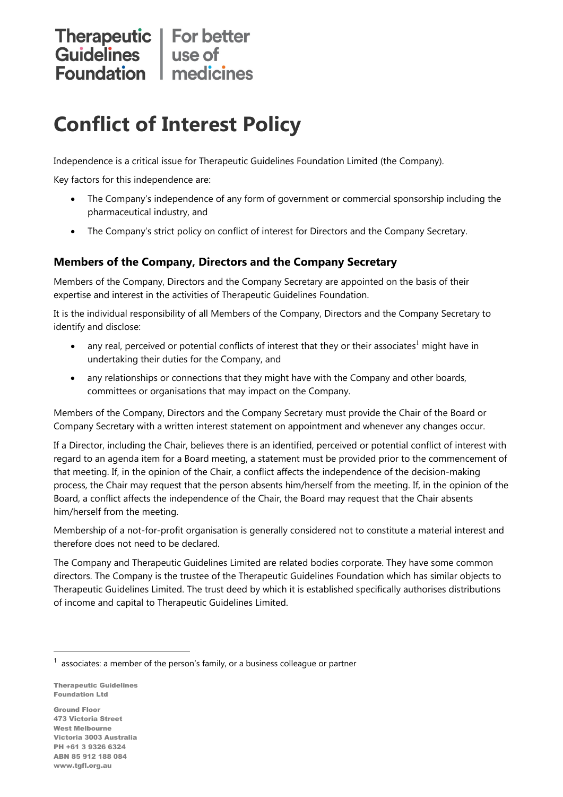## Therapeutic | For better<br>
Guidelines | use of<br>
Foundation | medicines

## **Conflict of Interest Policy**

Independence is a critical issue for Therapeutic Guidelines Foundation Limited (the Company).

Key factors for this independence are:

- The Company's independence of any form of government or commercial sponsorship including the pharmaceutical industry, and
- The Company's strict policy on conflict of interest for Directors and the Company Secretary.

## **Members of the Company, Directors and the Company Secretary**

Members of the Company, Directors and the Company Secretary are appointed on the basis of their expertise and interest in the activities of Therapeutic Guidelines Foundation.

It is the individual responsibility of all Members of the Company, Directors and the Company Secretary to identify and disclose:

- any real, perceived or potential conflicts of interest that they or their associates<sup>1</sup> might have in undertaking their duties for the Company, and
- any relationships or connections that they might have with the Company and other boards, committees or organisations that may impact on the Company.

Members of the Company, Directors and the Company Secretary must provide the Chair of the Board or Company Secretary with a written interest statement on appointment and whenever any changes occur.

If a Director, including the Chair, believes there is an identified, perceived or potential conflict of interest with regard to an agenda item for a Board meeting, a statement must be provided prior to the commencement of that meeting. If, in the opinion of the Chair, a conflict affects the independence of the decision-making process, the Chair may request that the person absents him/herself from the meeting. If, in the opinion of the Board, a conflict affects the independence of the Chair, the Board may request that the Chair absents him/herself from the meeting.

Membership of a not-for-profit organisation is generally considered not to constitute a material interest and therefore does not need to be declared.

The Company and Therapeutic Guidelines Limited are related bodies corporate. They have some common directors. The Company is the trustee of the Therapeutic Guidelines Foundation which has similar objects to Therapeutic Guidelines Limited. The trust deed by which it is established specifically authorises distributions of income and capital to Therapeutic Guidelines Limited.

Therapeutic Guidelines Foundation Ltd

Ground Floor 473 Victoria Street West Melbourne Victoria 3003 Australia PH +61 3 9326 6324 ABN 85 912 188 084 www.tgfl.org.au

 $1$  associates: a member of the person's family, or a business colleague or partner